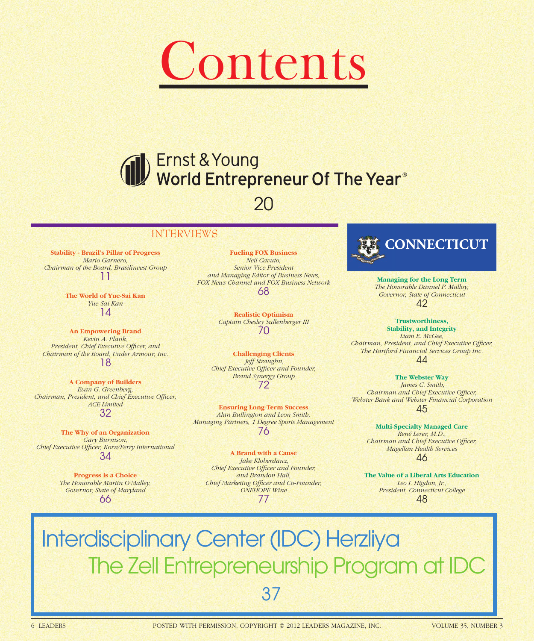

# Ernst & Young<br>World Entrepreneur Of The Year®

### 20

#### INTERVIEWS

**Stability - Brazil's Pillar of Progress** *Mario Garnero, Chairman of the Board, Brasilinvest Group* 11

> **The World of Yue-Sai Kan** *Yue-Sai Kan* 14

**An Empowering Brand** *Kevin A. Plank, President, Chief Executive Officer, and Chairman of the Board, Under Armour, Inc.* 18

**A Company of Builders** *Evan G. Greenberg,*  **Chairman, President, and Chief Executive Officer,** *ACE Limited* 32

**The Why of an Organization** *Gary Burnison,*  **Chief Executive Officer, Korn/Ferry International** 34

> **Progress is a Choice** *The Honorable Martin O'Malley, Governor, State of Maryland* 66

**Fueling FOX Business** *Neil Cavuto, Senior Vice President and Managing Editor of Business News, FOX News Channel and FOX Business Network* 68

> **Realistic Optimism** *Captain Chesley Sullenberger III* 70

**Challenging Clients**  *Jeff Straughn,*  **Chief Executive Officer and Founder,** *Brand Synergy Group* 72

**Ensuring Long-Term Success** *Alan Bullington and Leon Smith, Managing Partners, 1 Degree Sports Management* 76

**A Brand with a Cause**  *Jake Kloberdanz,*  **Chief Executive Officer and Founder,** *and Brandon Hall, Chief Marketing Officer and Co-Founder, ONEHOPE Wine* 77



**Managing for the Long Term** *The Honorable Dannel P. Malloy, Governor, State of Connecticut* 42

**Trustworthiness, Stability, and Integrity** *Liam E. McGee, Chairman, President, and Chief Executive Officer, The Hartford Financial Services Group Inc.* 44

**The Webster Way**  *James C. Smith, Chairman and Chief Executive Officer, Webster Bank and Webster Financial Corporation* 45

**Multi-Specialty Managed Care** *René Lerer, M.D., Chairman and Chief Executive Officer, Magellan Health Services* 46

**The Value of a Liberal Arts Education** *Leo I. Higdon, Jr., President, Connecticut College* 48

## Interdisciplinary Center (IDC) Herzliya The Zell Entrepreneurship Program at IDC 37